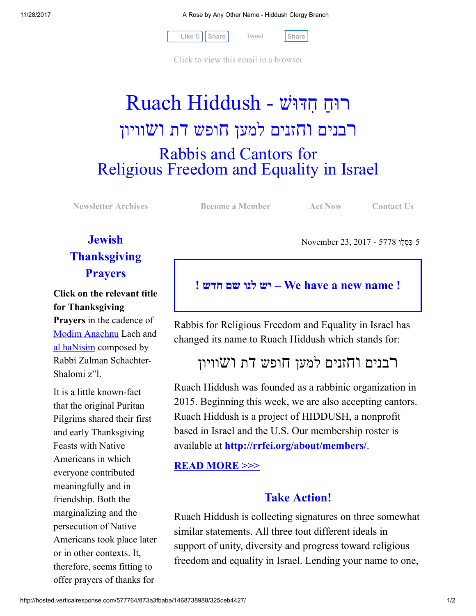11/28/2017 A Rose by Any Other Name - Hiddush Clergy Branch

[Tweet](https://twitter.com/intent/tweet?original_referer=http%3A%2F%2Fhosted.verticalresponse.com%2F577764%2F873a3fbaba%2F1468738988%2F325ceb4427%2F&ref_src=twsrc%5Etfw&text=A%20Rose%20by%20Any%20Other%20Name%20-%20Hiddush%20Clergy%20Branch%3A&tw_p=tweetbutton&url=http%3A%2F%2Fhosted-p0.vresp.com%2F577764%2F873a3fbaba%2FARCHIVE%23.Wh1ioF-unVg.twitter)



[Click to view this email in a browser](http://hosted.verticalresponse.com/577764/873a3fbaba/TEST/TEST/)

# רוּחַ חִדּוּשׁ - Ruach Hiddush רבנים וחזנים למען חופש דת ושוויון Rabbis and Cantors for Religious Freedom and Equality in Israel

[Newsletter Archives](http://cts.vresp.com/c/?FreedomofReligionfor/873a3fbaba/325ceb4427/13f074f91d) **[Become a Member](http://cts.vresp.com/c/?FreedomofReligionfor/873a3fbaba/325ceb4427/1b8e7317bb)** [Act Now](http://cts.vresp.com/c/?FreedomofReligionfor/873a3fbaba/325ceb4427/8be995ce18) [Contact Us](http://cts.vresp.com/c/?FreedomofReligionfor/873a3fbaba/325ceb4427/4cbcbe29cc)

5 ִכּ ְס ֵלו 5778 - 2017 23, November

## **Jewish Thanksgiving Prayers**

Click on the relevant title for Thanksgiving Prayers in the cadence of

[Modim Anachnu](http://cts.vresp.com/c/?FreedomofReligionfor/873a3fbaba/325ceb4427/78d966f171) Lach and [al haNisim](http://cts.vresp.com/c/?FreedomofReligionfor/873a3fbaba/325ceb4427/5fbccb7700) composed by Rabbi Zalman Schachter-Shalomi z"l.

It is a little known-fact that the original Puritan Pilgrims shared their first and early Thanksgiving Feasts with Native Americans in which everyone contributed meaningfully and in friendship. Both the marginalizing and the persecution of Native Americans took place later or in other contexts. It, therefore, seems fitting to offer prayers of thanks for

! יש לנו שם חדש – We have a new name !

Rabbis for Religious Freedom and Equality in Israel has changed its name to Ruach Hiddush which stands for:

# רבנים וחזנים למען חופש דת ושוויון

Ruach Hiddush was founded as a rabbinic organization in 2015. Beginning this week, we are also accepting cantors. Ruach Hiddush is a project of HIDDUSH, a nonprofit based in Israel and the U.S. Our membership roster is available at **[http://rrfei.org/about/members/](http://cts.vresp.com/c/?FreedomofReligionfor/873a3fbaba/325ceb4427/3cca79ef39)**.

#### [READ MORE >>>](http://cts.vresp.com/c/?FreedomofReligionfor/873a3fbaba/325ceb4427/b86f14953f)

### Take Action!

Ruach Hiddush is collecting signatures on three somewhat similar statements. All three tout different ideals in support of unity, diversity and progress toward religious freedom and equality in Israel. Lending your name to one,